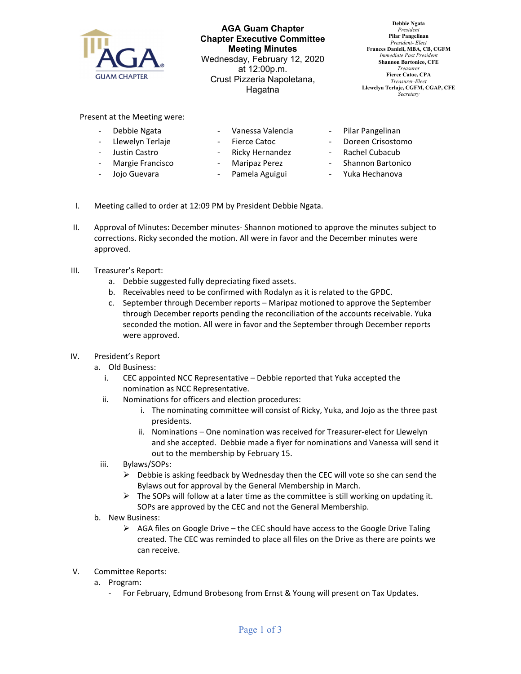

**AGA Guam Chapter Chapter Executive Committee Meeting Minutes**  Wednesday, February 12, 2020 at 12:00p.m. Crust Pizzeria Napoletana, Hagatna

**Debbie Ngata** *President*  **Pilar Pangelinan**  *President- Elect*  **Frances Danieli, MBA, CB, CGFM**  *Immediate Past Presiden* **Shannon Bartonico, CFE**  *Treasurer*  **Fierce Catoc, CPA**  *Treasurer-Elect*  **Llewelyn Terlaje, CGFM, CGAP, CFE**  *Secretary* 

Present at the Meeting were:

- ‐ Debbie Ngata
	- ‐ Llewelyn Terlaje
- ‐ Fierce Catoc
- ‐ Justin Castro ‐ Margie Francisco
- ‐ Ricky Hernandez
	-
- Jojo Guevara
- ‐ Maripaz Perez

‐ Vanessa Valencia

- ‐ Pamela Aguigui
- ‐ Pilar Pangelinan
- ‐ Doreen Crisostomo
- ‐ Rachel Cubacub
- ‐ Shannon Bartonico
- ‐ Yuka Hechanova
- I. Meeting called to order at 12:09 PM by President Debbie Ngata.
- II. Approval of Minutes: December minutes‐ Shannon motioned to approve the minutes subject to corrections. Ricky seconded the motion. All were in favor and the December minutes were approved.
- III. Treasurer's Report:
	- a. Debbie suggested fully depreciating fixed assets.
	- b. Receivables need to be confirmed with Rodalyn as it is related to the GPDC.
	- c. September through December reports Maripaz motioned to approve the September through December reports pending the reconciliation of the accounts receivable. Yuka seconded the motion. All were in favor and the September through December reports were approved.
- IV. President's Report
	- a. Old Business:
		- i. CEC appointed NCC Representative Debbie reported that Yuka accepted the nomination as NCC Representative.
		- ii. Nominations for officers and election procedures:
			- i. The nominating committee will consist of Ricky, Yuka, and Jojo as the three past presidents.
			- ii. Nominations One nomination was received for Treasurer‐elect for Llewelyn and she accepted. Debbie made a flyer for nominations and Vanessa will send it out to the membership by February 15.
	- iii. Bylaws/SOPs:
		- $\triangleright$  Debbie is asking feedback by Wednesday then the CEC will vote so she can send the Bylaws out for approval by the General Membership in March.
		- $\triangleright$  The SOPs will follow at a later time as the committee is still working on updating it. SOPs are approved by the CEC and not the General Membership.
	- b. New Business:
		- $\triangleright$  AGA files on Google Drive the CEC should have access to the Google Drive Taling created. The CEC was reminded to place all files on the Drive as there are points we can receive.
- V. Committee Reports:
	- a. Program:
		- ‐ For February, Edmund Brobesong from Ernst & Young will present on Tax Updates.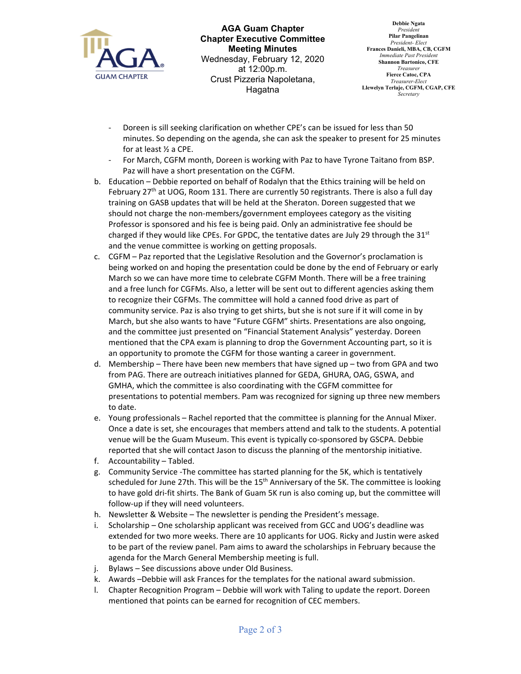

**AGA Guam Chapter Chapter Executive Committee Meeting Minutes**  Wednesday, February 12, 2020 at 12:00p.m. Crust Pizzeria Napoletana, Hagatna

**Debbie Ngata** *President*  **Pilar Pangelinan**  *President- Elect*  **Frances Danieli, MBA, CB, CGFM**  *Immediate Past Presiden* **Shannon Bartonico, CFE**  *Treasurer*  **Fierce Catoc, CPA**  *Treasurer-Elect*  **Llewelyn Terlaje, CGFM, CGAP, CFE**  *Secretary* 

- ‐ Doreen is sill seeking clarification on whether CPE's can be issued for less than 50 minutes. So depending on the agenda, she can ask the speaker to present for 25 minutes for at least ½ a CPE.
- ‐ For March, CGFM month, Doreen is working with Paz to have Tyrone Taitano from BSP. Paz will have a short presentation on the CGFM.
- b. Education Debbie reported on behalf of Rodalyn that the Ethics training will be held on February 27<sup>th</sup> at UOG, Room 131. There are currently 50 registrants. There is also a full day training on GASB updates that will be held at the Sheraton. Doreen suggested that we should not charge the non-members/government employees category as the visiting Professor is sponsored and his fee is being paid. Only an administrative fee should be charged if they would like CPEs. For GPDC, the tentative dates are July 29 through the  $31<sup>st</sup>$ and the venue committee is working on getting proposals.
- c. CGFM Paz reported that the Legislative Resolution and the Governor's proclamation is being worked on and hoping the presentation could be done by the end of February or early March so we can have more time to celebrate CGFM Month. There will be a free training and a free lunch for CGFMs. Also, a letter will be sent out to different agencies asking them to recognize their CGFMs. The committee will hold a canned food drive as part of community service. Paz is also trying to get shirts, but she is not sure if it will come in by March, but she also wants to have "Future CGFM" shirts. Presentations are also ongoing, and the committee just presented on "Financial Statement Analysis" yesterday. Doreen mentioned that the CPA exam is planning to drop the Government Accounting part, so it is an opportunity to promote the CGFM for those wanting a career in government.
- d. Membership There have been new members that have signed up two from GPA and two from PAG. There are outreach initiatives planned for GEDA, GHURA, OAG, GSWA, and GMHA, which the committee is also coordinating with the CGFM committee for presentations to potential members. Pam was recognized for signing up three new members to date.
- e. Young professionals Rachel reported that the committee is planning for the Annual Mixer. Once a date is set, she encourages that members attend and talk to the students. A potential venue will be the Guam Museum. This event is typically co-sponsored by GSCPA. Debbie reported that she will contact Jason to discuss the planning of the mentorship initiative.
- f. Accountability Tabled.
- g. Community Service ‐The committee has started planning for the 5K, which is tentatively scheduled for June 27th. This will be the 15<sup>th</sup> Anniversary of the 5K. The committee is looking to have gold dri‐fit shirts. The Bank of Guam 5K run is also coming up, but the committee will follow‐up if they will need volunteers.
- h. Newsletter & Website The newsletter is pending the President's message.
- i. Scholarship One scholarship applicant was received from GCC and UOG's deadline was extended for two more weeks. There are 10 applicants for UOG. Ricky and Justin were asked to be part of the review panel. Pam aims to award the scholarships in February because the agenda for the March General Membership meeting is full.
- j. Bylaws See discussions above under Old Business.
- k. Awards –Debbie will ask Frances for the templates for the national award submission.
- l. Chapter Recognition Program Debbie will work with Taling to update the report. Doreen mentioned that points can be earned for recognition of CEC members.